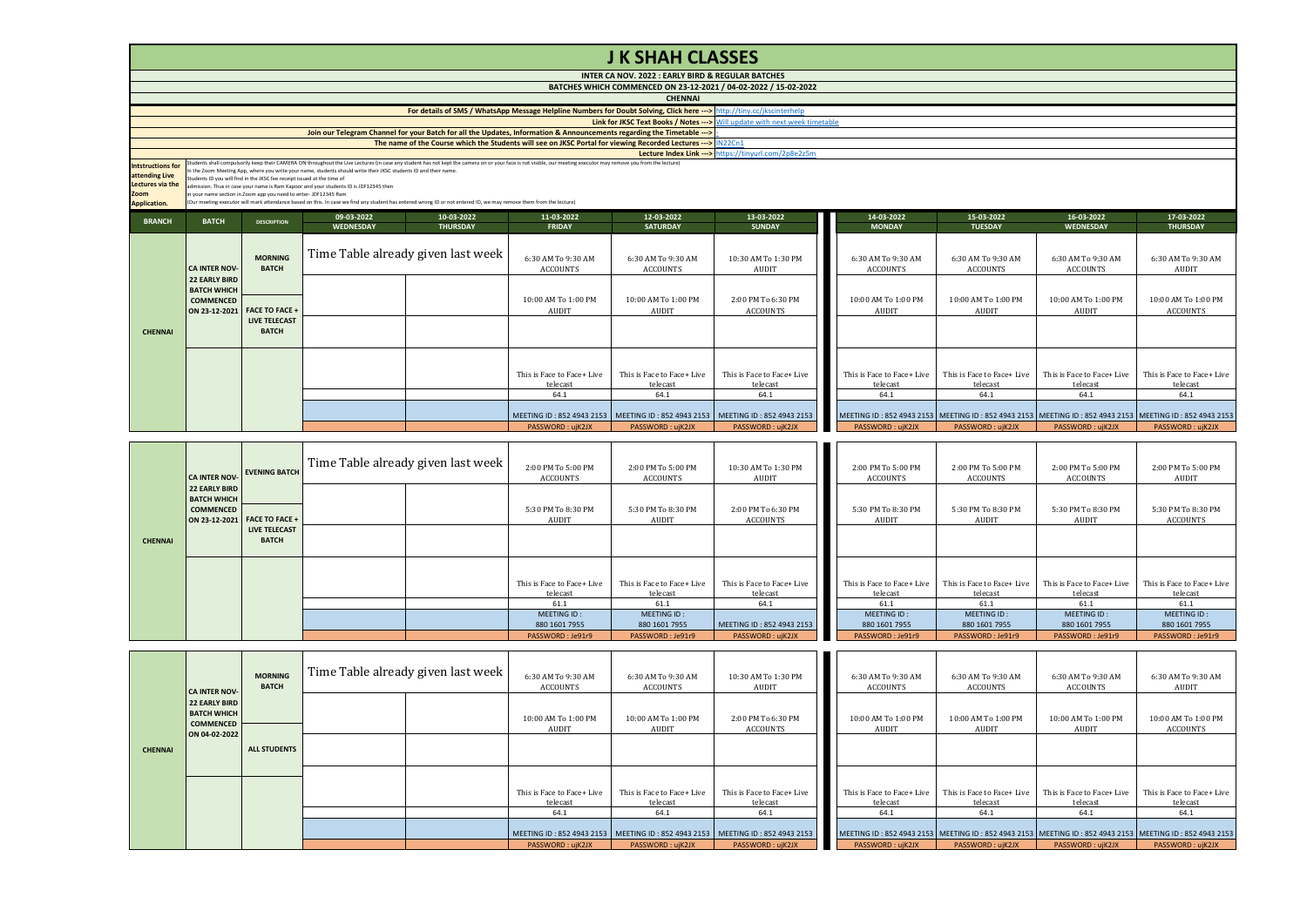|                                                                                               | <b>J K SHAH CLASSES</b>                                                                                                                                                                                                                                                                                                                                                                                                                                                                                                                                                                                                                                                                                                                           |                                      |                  |                                    |                                        |                                                                                                                        |                                                                             |  |                                        |                                        |                                                                                                                   |                                        |  |  |
|-----------------------------------------------------------------------------------------------|---------------------------------------------------------------------------------------------------------------------------------------------------------------------------------------------------------------------------------------------------------------------------------------------------------------------------------------------------------------------------------------------------------------------------------------------------------------------------------------------------------------------------------------------------------------------------------------------------------------------------------------------------------------------------------------------------------------------------------------------------|--------------------------------------|------------------|------------------------------------|----------------------------------------|------------------------------------------------------------------------------------------------------------------------|-----------------------------------------------------------------------------|--|----------------------------------------|----------------------------------------|-------------------------------------------------------------------------------------------------------------------|----------------------------------------|--|--|
|                                                                                               | <b>INTER CA NOV. 2022 : EARLY BIRD &amp; REGULAR BATCHES</b>                                                                                                                                                                                                                                                                                                                                                                                                                                                                                                                                                                                                                                                                                      |                                      |                  |                                    |                                        |                                                                                                                        |                                                                             |  |                                        |                                        |                                                                                                                   |                                        |  |  |
|                                                                                               |                                                                                                                                                                                                                                                                                                                                                                                                                                                                                                                                                                                                                                                                                                                                                   |                                      |                  |                                    |                                        |                                                                                                                        | BATCHES WHICH COMMENCED ON 23-12-2021 / 04-02-2022 / 15-02-2022             |  |                                        |                                        |                                                                                                                   |                                        |  |  |
|                                                                                               |                                                                                                                                                                                                                                                                                                                                                                                                                                                                                                                                                                                                                                                                                                                                                   |                                      |                  |                                    |                                        | <b>CHENNAI</b>                                                                                                         |                                                                             |  |                                        |                                        |                                                                                                                   |                                        |  |  |
|                                                                                               |                                                                                                                                                                                                                                                                                                                                                                                                                                                                                                                                                                                                                                                                                                                                                   |                                      |                  |                                    |                                        | For details of SMS / WhatsApp Message Helpline Numbers for Doubt Solving, Click here ---> http://tiny.cc/jkscinterhelp |                                                                             |  |                                        |                                        |                                                                                                                   |                                        |  |  |
|                                                                                               |                                                                                                                                                                                                                                                                                                                                                                                                                                                                                                                                                                                                                                                                                                                                                   |                                      |                  |                                    |                                        | Join our Telegram Channel for your Batch for all the Updates, Information & Announcements regarding the Timetable ---> | Link for JKSC Text Books / Notes --- > Will update with next week timetable |  |                                        |                                        |                                                                                                                   |                                        |  |  |
|                                                                                               | The name of the Course which the Students will see on JKSC Portal for viewing Recorded Lectures --->   IN22Cn1                                                                                                                                                                                                                                                                                                                                                                                                                                                                                                                                                                                                                                    |                                      |                  |                                    |                                        |                                                                                                                        |                                                                             |  |                                        |                                        |                                                                                                                   |                                        |  |  |
|                                                                                               |                                                                                                                                                                                                                                                                                                                                                                                                                                                                                                                                                                                                                                                                                                                                                   |                                      |                  |                                    |                                        |                                                                                                                        | Lecture Index Link --- > https://tinvurl.com/2p8e2z5m                       |  |                                        |                                        |                                                                                                                   |                                        |  |  |
| <b>Intstructions for</b><br>attending Live<br>Lectures via the<br>Zoom<br><b>Application.</b> | Students shall compulsorily keep their CAMERA ON throughout the Live Lectures (in case any student has not kept the camera on or your face is not visible, our meeting executor may remove you from the lecture)<br>In the Zoom Meeting App, where you write your name, students should write their JKSC students ID and their name.<br>Students ID you will find in the JKSC fee receipt issued at the time of<br>admission. Thus in case your name is Ram Kapoor and your students ID is JDF12345 then<br>in your name section in Zoom app you need to enter-JDF12345 Ram<br>(Our meeting executor will mark attendance based on this. In case we find any student has entered wrong ID or not entered ID, we may remove them from the lecture) |                                      |                  |                                    |                                        |                                                                                                                        |                                                                             |  |                                        |                                        |                                                                                                                   |                                        |  |  |
| <b>BRANCH</b>                                                                                 | <b>BATCH</b>                                                                                                                                                                                                                                                                                                                                                                                                                                                                                                                                                                                                                                                                                                                                      | <b>DESCRIPTION</b>                   | 09-03-2022       | 10-03-2022                         | 11-03-2022                             | 12-03-2022                                                                                                             | 13-03-2022                                                                  |  | 14-03-2022                             | 15-03-2022                             | 16-03-2022                                                                                                        | 17-03-2022                             |  |  |
|                                                                                               |                                                                                                                                                                                                                                                                                                                                                                                                                                                                                                                                                                                                                                                                                                                                                   |                                      | <b>WEDNESDAY</b> | <b>THURSDAY</b>                    | <b>FRIDAY</b>                          | <b>SATURDAY</b>                                                                                                        | <b>SUNDAY</b>                                                               |  | <b>MONDAY</b>                          | <b>TUESDAY</b>                         | WEDNESDAY                                                                                                         | <b>THURSDAY</b>                        |  |  |
|                                                                                               | <b>CA INTER NOV-</b>                                                                                                                                                                                                                                                                                                                                                                                                                                                                                                                                                                                                                                                                                                                              | <b>MORNING</b><br><b>BATCH</b>       |                  | Time Table already given last week | 6:30 AM To 9:30 AM<br><b>ACCOUNTS</b>  | 6:30 AM To 9:30 AM<br><b>ACCOUNTS</b>                                                                                  | 10:30 AM To 1:30 PM<br>AUDIT                                                |  | 6:30 AM To 9:30 AM<br><b>ACCOUNTS</b>  | 6:30 AM To 9:30 AM<br><b>ACCOUNTS</b>  | 6:30 AM To 9:30 AM<br><b>ACCOUNTS</b>                                                                             | 6:30 AM To 9:30 AM<br><b>AUDIT</b>     |  |  |
|                                                                                               | <b>22 EARLY BIRD</b><br><b>BATCH WHICH</b><br><b>COMMENCED</b><br>ON 23-12-2021                                                                                                                                                                                                                                                                                                                                                                                                                                                                                                                                                                                                                                                                   | <b>FACE TO FACE +</b>                |                  |                                    | 10:00 AM To 1:00 PM<br><b>AUDIT</b>    | 10:00 AM To 1:00 PM<br><b>AUDIT</b>                                                                                    | 2:00 PM To 6:30 PM<br><b>ACCOUNTS</b>                                       |  | 10:00 AM To 1:00 PM<br><b>AUDIT</b>    | 10:00 AM To 1:00 PM<br>AUDIT           | 10:00 AM To 1:00 PM<br>AUDIT                                                                                      | 10:00 AM To 1:00 PM<br><b>ACCOUNTS</b> |  |  |
| <b>CHENNAI</b>                                                                                |                                                                                                                                                                                                                                                                                                                                                                                                                                                                                                                                                                                                                                                                                                                                                   | <b>LIVE TELECAST</b><br><b>BATCH</b> |                  |                                    |                                        |                                                                                                                        |                                                                             |  |                                        |                                        |                                                                                                                   |                                        |  |  |
|                                                                                               |                                                                                                                                                                                                                                                                                                                                                                                                                                                                                                                                                                                                                                                                                                                                                   |                                      |                  |                                    | This is Face to Face+ Live<br>telecast | This is Face to Face+ Live<br>telecast                                                                                 | This is Face to Face+ Live<br>telecast                                      |  | This is Face to Face+ Live<br>telecast | This is Face to Face+ Live<br>telecast | This is Face to Face+ Live<br>telecast                                                                            | This is Face to Face+ Live<br>telecast |  |  |
|                                                                                               |                                                                                                                                                                                                                                                                                                                                                                                                                                                                                                                                                                                                                                                                                                                                                   |                                      |                  |                                    | 64.1                                   | 64.1                                                                                                                   | 64.1                                                                        |  | 64.1                                   | 64.1                                   | 64.1                                                                                                              | 64.1                                   |  |  |
|                                                                                               |                                                                                                                                                                                                                                                                                                                                                                                                                                                                                                                                                                                                                                                                                                                                                   |                                      |                  |                                    |                                        | MEETING ID: 852 4943 2153 MEETING ID: 852 4943 2153                                                                    | MEETING ID: 852 4943 2153                                                   |  |                                        |                                        | MEETING ID : 852 4943 2153   MEETING ID : 852 4943 2153   MEETING ID : 852 4943 2153   MEETING ID : 852 4943 2153 |                                        |  |  |
|                                                                                               |                                                                                                                                                                                                                                                                                                                                                                                                                                                                                                                                                                                                                                                                                                                                                   |                                      |                  |                                    | PASSWORD: ujK2JX                       | PASSWORD: ujK2JX                                                                                                       | PASSWORD: ujK2JX                                                            |  | PASSWORD: ujK2JX                       | PASSWORD: ujK2JX                       | PASSWORD: ujK2JX                                                                                                  | PASSWORD: ujK2JX                       |  |  |

|                | <b>CA INTER NOV-</b>                                           | <b>EVENING BATCH</b>                 | Time Table already given last week | 2:00 PM To 5:00 PM<br><b>ACCOUNTS</b>  | 2:00 PM To 5:00 PM<br><b>ACCOUNTS</b>  | 10:30 AM To 1:30 PM<br>AUDIT           | 2:00 PM To 5:00 PM<br>ACCOUNTS         | 2:00 PM To 5:00 PM<br><b>ACCOUNTS</b>  | 2:00 PM To 5:00 PM<br>ACCOUNTS         | 2:00 PM To 5:00 PM<br>AUDIT            |
|----------------|----------------------------------------------------------------|--------------------------------------|------------------------------------|----------------------------------------|----------------------------------------|----------------------------------------|----------------------------------------|----------------------------------------|----------------------------------------|----------------------------------------|
|                | <b>22 EARLY BIRD</b><br><b>BATCH WHICH</b><br><b>COMMENCED</b> | ON 23-12-2021 FACE TO FACE +         |                                    | 5:30 PM To 8:30 PM<br>AUDIT            | 5:30 PM To 8:30 PM<br>AUDIT            | 2:00 PM To 6:30 PM<br><b>ACCOUNTS</b>  | 5:30 PM To 8:30 PM<br>AUDIT            | 5:30 PM To 8:30 PM<br>AUDIT            | 5:30 PM To 8:30 PM<br>AUDIT            | 5:30 PM To 8:30 PM<br><b>ACCOUNTS</b>  |
| <b>CHENNAI</b> |                                                                | <b>LIVE TELECAST</b><br><b>BATCH</b> |                                    |                                        |                                        |                                        |                                        |                                        |                                        |                                        |
|                |                                                                |                                      |                                    | This is Face to Face+ Live<br>telecast | This is Face to Face+ Live<br>telecast | This is Face to Face+ Live<br>telecast | This is Face to Face+ Live<br>telecast | This is Face to Face+ Live<br>telecast | This is Face to Face+ Live<br>telecast | This is Face to Face+ Live<br>telecast |
|                |                                                                |                                      |                                    | 61.1                                   | 61.1                                   | 64.1                                   | 61.1                                   | 61.1                                   | 61.1                                   | 61.1                                   |
|                |                                                                |                                      |                                    | MEETING ID:<br>880 1601 7955           | MEETING ID:<br>880 1601 7955           | MEETING ID: 852 4943 2153              | MEETING ID:<br>880 1601 7955           | MEETING ID:<br>880 1601 7955           | MEETING ID:<br>880 1601 7955           | MEETING ID:<br>880 1601 7955           |
|                |                                                                |                                      |                                    | PASSWORD: Je91r9                       | PASSWORD: Je91r9                       | PASSWORD: ujK2JX                       | PASSWORD: Je91r9                       | PASSWORD: Je91r9                       | PASSWORD: Je91r9                       | PASSWORD: Je91r9                       |

|                | <b>CA INTER NOV-</b>                                                     | <b>MORNING</b><br><b>BATCH</b> | Time Table already given last week | 6:30 AM To 9:30 AM<br>ACCOUNTS | 6:30 AM To 9:30 AM<br>ACCOUNTS | 10:30 AM To 1:30 PM<br>AUDIT                                                      | 6:30 AM To 9:30 AM<br>ACCOUNTS                                                                          | 6:30 AM To 9:30 AM<br>ACCOUNTS | 6:30 AM To 9:30 AM<br>ACCOUNTS | 6:30 AM To 9:30 AM<br>AUDIT     |
|----------------|--------------------------------------------------------------------------|--------------------------------|------------------------------------|--------------------------------|--------------------------------|-----------------------------------------------------------------------------------|---------------------------------------------------------------------------------------------------------|--------------------------------|--------------------------------|---------------------------------|
|                | 22 EARLY BIRD<br><b>BATCH WHICH</b><br><b>COMMENCED</b><br>ON 04-02-2022 |                                |                                    | 10:00 AM To 1:00 PM<br>AUDIT   | 10:00 AM To 1:00 PM<br>AUDIT   | 2:00 PM To 6:30 PM<br>ACCOUNTS                                                    | 10:00 AM To 1:00 PM<br>AUDIT                                                                            | 10:00 AM To 1:00 PM<br>AUDIT   | 10:00 AM To 1:00 PM<br>AUDIT   | 10:00 AM To 1:00 PM<br>ACCOUNTS |
| <b>CHENNAI</b> |                                                                          | <b>ALL STUDENTS</b>            |                                    |                                |                                |                                                                                   |                                                                                                         |                                |                                |                                 |
|                |                                                                          |                                |                                    | This is Face to Face+ Live     | This is Face to Face+ Live     | This is Face to Face+ Live                                                        | This is Face to Face+ Live                                                                              | This is Face to Face+ Live     | This is Face to Face+ Live     | This is Face to Face+ Live      |
|                |                                                                          |                                |                                    | telecast                       | telecast                       | telecast                                                                          | telecast                                                                                                | telecast                       | telecast                       | telecast                        |
|                |                                                                          |                                |                                    | 64.1                           | 64.1                           | 64.1                                                                              | 64.1                                                                                                    | 64.1                           | 64.1                           | 64.1                            |
|                |                                                                          |                                |                                    |                                |                                | MEETING ID: 852 4943 2153   MEETING ID: 852 4943 2153   MEETING ID: 852 4943 2153 | MEETING ID: 852 4943 2153 MEETING ID: 852 4943 2153 MEETING ID: 852 4943 2153 MEETING ID: 852 4943 2153 |                                |                                |                                 |
|                |                                                                          |                                |                                    | PASSWORD: ujK2JX               | PASSWORD: ujK2JX               | PASSWORD: ujK2JX                                                                  | PASSWORD: ujK2JX                                                                                        | PASSWORD: ujK2JX               | PASSWORD: ujK2JX               | PASSWORD: ujK2JX                |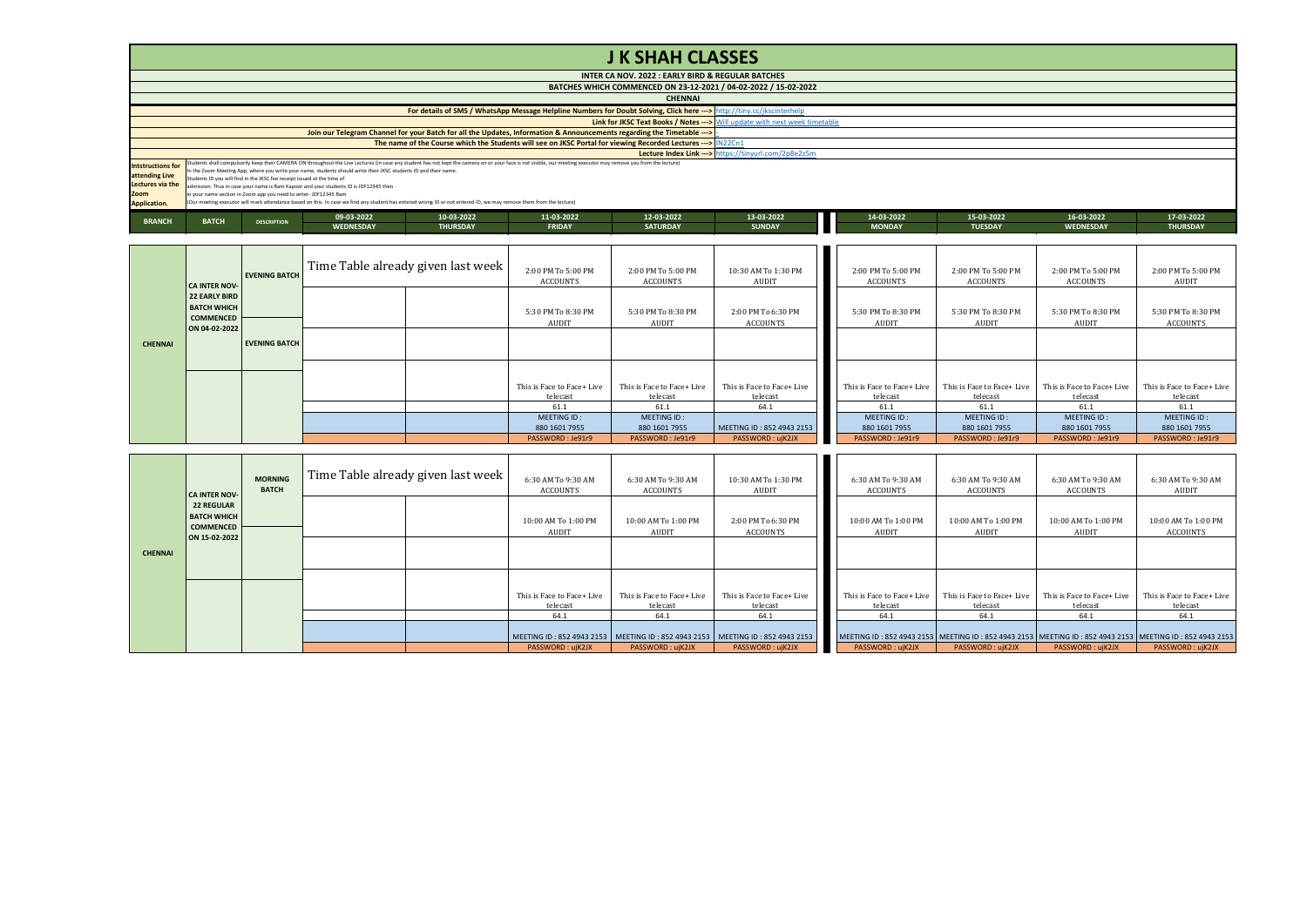## **J K SHAH CLASSES**

|                          |                                                                                                                        |                                                                         |                                                                                                                  |                                                                                                                                                                                                                  |               | INTER CA NOV. 2022 : EARLY BIRD & REGULAR BATCHES                                                                      |                                                       |               |                |                  |                 |  |
|--------------------------|------------------------------------------------------------------------------------------------------------------------|-------------------------------------------------------------------------|------------------------------------------------------------------------------------------------------------------|------------------------------------------------------------------------------------------------------------------------------------------------------------------------------------------------------------------|---------------|------------------------------------------------------------------------------------------------------------------------|-------------------------------------------------------|---------------|----------------|------------------|-----------------|--|
|                          | BATCHES WHICH COMMENCED ON 23-12-2021 / 04-02-2022 / 15-02-2022                                                        |                                                                         |                                                                                                                  |                                                                                                                                                                                                                  |               |                                                                                                                        |                                                       |               |                |                  |                 |  |
|                          | <b>CHENNAI</b>                                                                                                         |                                                                         |                                                                                                                  |                                                                                                                                                                                                                  |               |                                                                                                                        |                                                       |               |                |                  |                 |  |
|                          | For details of SMS / WhatsApp Message Helpline Numbers for Doubt Solving, Click here ---> http://tiny.cc/jkscinterhelp |                                                                         |                                                                                                                  |                                                                                                                                                                                                                  |               |                                                                                                                        |                                                       |               |                |                  |                 |  |
|                          | <b>Link for JKSC Text Books / Notes ---&gt;</b> Will update with next week timetable                                   |                                                                         |                                                                                                                  |                                                                                                                                                                                                                  |               |                                                                                                                        |                                                       |               |                |                  |                 |  |
|                          |                                                                                                                        |                                                                         |                                                                                                                  |                                                                                                                                                                                                                  |               | Join our Telegram Channel for your Batch for all the Updates, Information & Announcements regarding the Timetable ---> |                                                       |               |                |                  |                 |  |
|                          | The name of the Course which the Students will see on JKSC Portal for viewing Recorded Lectures ---> IN22Cn1           |                                                                         |                                                                                                                  |                                                                                                                                                                                                                  |               |                                                                                                                        |                                                       |               |                |                  |                 |  |
|                          |                                                                                                                        |                                                                         |                                                                                                                  |                                                                                                                                                                                                                  |               |                                                                                                                        | Lecture Index Link --- > https://tinyurl.com/2p8e2z5m |               |                |                  |                 |  |
| <b>Intstructions for</b> |                                                                                                                        |                                                                         |                                                                                                                  | Students shall compulsorily keep their CAMERA ON throughout the Live Lectures (in case any student has not kept the camera on or your face is not visible, our meeting executor may remove you from the lecture) |               |                                                                                                                        |                                                       |               |                |                  |                 |  |
| attending Live           |                                                                                                                        |                                                                         | In the Zoom Meeting App, where you write your name, students should write their JKSC students ID and their name. |                                                                                                                                                                                                                  |               |                                                                                                                        |                                                       |               |                |                  |                 |  |
| Lectures via the         |                                                                                                                        | Students ID you will find in the JKSC fee receipt issued at the time of | admission. Thus in case your name is Ram Kappor and your students ID is JDF12345 then                            |                                                                                                                                                                                                                  |               |                                                                                                                        |                                                       |               |                |                  |                 |  |
| Zoom                     |                                                                                                                        | in your name section in Zoom app you need to enter- JDF12345 Ram        |                                                                                                                  |                                                                                                                                                                                                                  |               |                                                                                                                        |                                                       |               |                |                  |                 |  |
| Application.             |                                                                                                                        |                                                                         |                                                                                                                  | (Our meeting executor will mark attendance based on this. In case we find any student has entered wrong ID or not entered ID, we may remove them from the lecture)                                               |               |                                                                                                                        |                                                       |               |                |                  |                 |  |
|                          |                                                                                                                        |                                                                         | 09-03-2022                                                                                                       | 10-03-2022                                                                                                                                                                                                       | 11-03-2022    | 12-03-2022                                                                                                             | 13-03-2022                                            | 14-03-2022    | 15-03-2022     | 16-03-2022       | 17-03-2022      |  |
| <b>BRANCH</b>            | <b>BATCH</b>                                                                                                           | <b>DESCRIPTION</b>                                                      | <b>WEDNESDAY</b>                                                                                                 | <b>THURSDAY</b>                                                                                                                                                                                                  | <b>FRIDAY</b> | <b>SATURDAY</b>                                                                                                        | <b>SUNDAY</b>                                         | <b>MONDAY</b> | <b>TUESDAY</b> | <b>WEDNESDAY</b> | <b>THURSDAY</b> |  |

**WEDNESDAY THURSDAY FRIDAY SATURDAY SUNDAY MONDAY TUESDAY WEDNESDAY THURSDAY**

|                | <b>CA INTER NOV-</b>                                                     | <b>EVENING BATCH</b> | Time Table already given last week | 2:00 PM To 5:00 PM<br>ACCOUNTS | 2:00 PM To 5:00 PM<br><b>ACCOUNTS</b> | 10:30 AM To 1:30 PM<br>AUDIT          | 2:00 PM To 5:00 PM<br><b>ACCOUNTS</b> | 2:00 PM To 5:00 PM<br><b>ACCOUNTS</b> | 2:00 PM To 5:00 PM<br><b>ACCOUNTS</b> | 2:00 PM To 5:00 PM<br>AUDIT    |
|----------------|--------------------------------------------------------------------------|----------------------|------------------------------------|--------------------------------|---------------------------------------|---------------------------------------|---------------------------------------|---------------------------------------|---------------------------------------|--------------------------------|
|                | 22 EARLY BIRD<br><b>BATCH WHICH</b><br><b>COMMENCED</b><br>ON 04-02-2022 |                      |                                    | 5:30 PM To 8:30 PM<br>AUDIT    | 5:30 PM To 8:30 PM<br>AUDIT           | 2:00 PM To 6:30 PM<br><b>ACCOUNTS</b> | 5:30 PM To 8:30 PM<br>AUDIT           | 5:30 PM To 8:30 PM<br>AUDIT           | 5:30 PM To 8:30 PM<br>AUDIT           | 5:30 PM To 8:30 PM<br>ACCOUNTS |
| <b>CHENNAI</b> |                                                                          | <b>EVENING BATCH</b> |                                    |                                |                                       |                                       |                                       |                                       |                                       |                                |
|                |                                                                          |                      |                                    | This is Face to Face+ Live     | This is Face to Face+ Live            | This is Face to Face+ Live            | This is Face to Face+ Live            | This is Face to Face+ Live            | This is Face to Face+ Live            | This is Face to Face+ Live     |
|                |                                                                          |                      |                                    | telecast                       | telecast                              | telecast                              | telecast                              | telecast                              | telecast                              | telecast                       |
|                |                                                                          |                      |                                    | 61.1                           | 61.1                                  | 64.1                                  | 61.1                                  | 61.1                                  | 61.1                                  | 61.1                           |
|                |                                                                          |                      |                                    | MEETING ID:                    | MEETING ID:                           |                                       | MEETING ID:                           | MEETING ID:                           | MEETING ID:                           | MEETING ID:                    |
|                |                                                                          |                      |                                    | 880 1601 7955                  | 880 1601 7955                         | MEETING ID: 852 4943 2153             | 880 1601 7955                         | 880 1601 7955                         | 880 1601 7955                         | 880 1601 7955                  |
|                |                                                                          |                      |                                    | PASSWORD: Je91r9               | PASSWORD: Je91r9                      | PASSWORD: ujK2JX                      | PASSWORD: Je91r9                      | PASSWORD: Je91r9                      | PASSWORD: Je91r9                      | PASSWORD: Je91r9               |

|                | <b>CA INTER NOV-</b>                                                         | <b>MORNING</b><br><b>BATCH</b> | Time Table already given last week | 6:30 AM To 9:30 AM<br><b>ACCOUNTS</b>                                             | 6:30 AM To 9:30 AM<br><b>ACCOUNTS</b>  | 10:30 AM To 1:30 PM<br>AUDIT           | 6:30 AM To 9:30 AM<br>ACCOUNTS                                                                                | 6:30 AM To 9:30 AM<br><b>ACCOUNTS</b>  | 6:30 AM To 9:30 AM<br>ACCOUNTS         | 6:30 AM To 9:30 AM<br>AUDIT            |
|----------------|------------------------------------------------------------------------------|--------------------------------|------------------------------------|-----------------------------------------------------------------------------------|----------------------------------------|----------------------------------------|---------------------------------------------------------------------------------------------------------------|----------------------------------------|----------------------------------------|----------------------------------------|
|                | <b>22 REGULAR</b><br><b>BATCH WHICH</b><br><b>COMMENCED</b><br>ON 15-02-2022 |                                |                                    | 10:00 AM To 1:00 PM<br>AUDIT                                                      | 10:00 AM To 1:00 PM<br>AUDIT           | 2:00 PM To 6:30 PM<br>ACCOUNTS         | 10:00 AM To 1:00 PM<br>AUDIT                                                                                  | 10:00 AM To 1:00 PM<br>AUDIT           | 10:00 AM To 1:00 PM<br>AUDIT           | 10:00 AM To 1:00 PM<br>ACCOUNTS        |
| <b>CHENNAI</b> |                                                                              |                                |                                    |                                                                                   |                                        |                                        |                                                                                                               |                                        |                                        |                                        |
|                |                                                                              |                                |                                    | This is Face to Face+ Live<br>telecast                                            | This is Face to Face+ Live<br>telecast | This is Face to Face+ Live<br>telecast | This is Face to Face+ Live<br>telecast                                                                        | This is Face to Face+ Live<br>telecast | This is Face to Face+ Live<br>telecast | This is Face to Face+ Live<br>telecast |
|                |                                                                              |                                |                                    | 64.1                                                                              | 64.1                                   | 64.1                                   | 64.1                                                                                                          | 64.1                                   | 64.1                                   | 64.1                                   |
|                |                                                                              |                                |                                    | MEETING ID: 852 4943 2153   MEETING ID: 852 4943 2153   MEETING ID: 852 4943 2153 |                                        |                                        | MEETING ID: 852 4943 2153   MEETING ID: 852 4943 2153   MEETING ID: 852 4943 2153   MEETING ID: 852 4943 2153 |                                        |                                        |                                        |
|                |                                                                              |                                |                                    | PASSWORD: ujK2JX                                                                  | PASSWORD: ujK2JX                       | PASSWORD: ujK2JX                       | PASSWORD: ujK2JX                                                                                              | PASSWORD: ujK2JX                       | PASSWORD: ujK2JX                       | PASSWORD: ujK2JX                       |